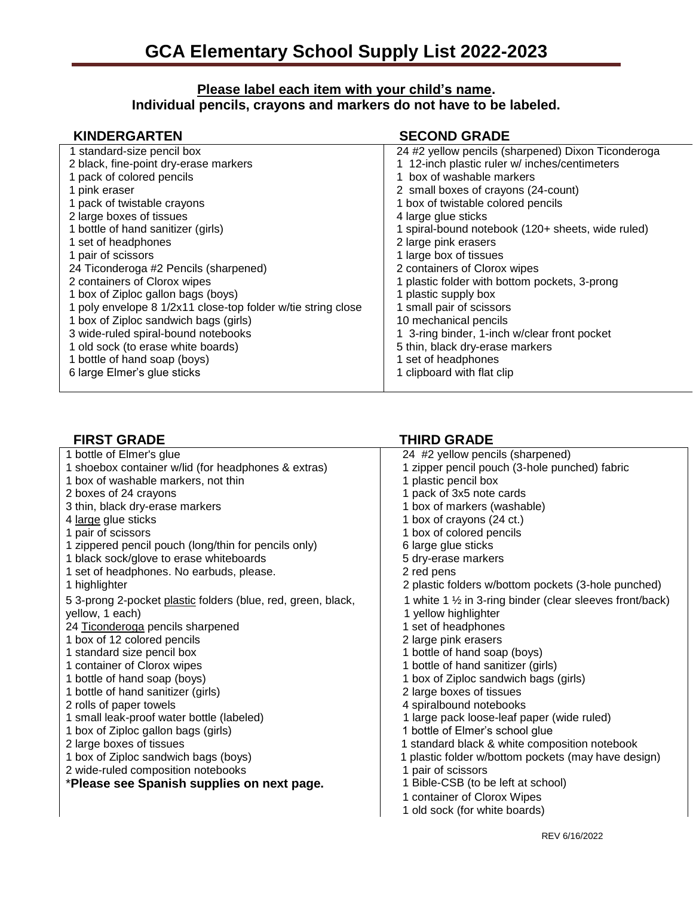## **Please label each item with your child's name. Individual pencils, crayons and markers do not have to be labeled.**

| <b>KINDERGARTEN</b>                                          | <b>SECOND GRADE</b>                                |
|--------------------------------------------------------------|----------------------------------------------------|
| 1 standard-size pencil box                                   | 24 #2 yellow pencils (sharpened) Dixon Ticonderoga |
| 2 black, fine-point dry-erase markers                        | 1 12-inch plastic ruler w/ inches/centimeters      |
| 1 pack of colored pencils                                    | 1 box of washable markers                          |
| 1 pink eraser                                                | 2 small boxes of crayons (24-count)                |
| 1 pack of twistable crayons                                  | 1 box of twistable colored pencils                 |
| 2 large boxes of tissues                                     | 4 large glue sticks                                |
| 1 bottle of hand sanitizer (girls)                           | 1 spiral-bound notebook (120+ sheets, wide ruled)  |
| 1 set of headphones                                          | 2 large pink erasers                               |
| 1 pair of scissors                                           | 1 large box of tissues                             |
| 24 Ticonderoga #2 Pencils (sharpened)                        | 2 containers of Clorox wipes                       |
| 2 containers of Clorox wipes                                 | 1 plastic folder with bottom pockets, 3-prong      |
| 1 box of Ziploc gallon bags (boys)                           | 1 plastic supply box                               |
| 1 poly envelope 8 1/2x11 close-top folder w/tie string close | 1 small pair of scissors                           |
| 1 box of Ziploc sandwich bags (girls)                        | 10 mechanical pencils                              |
| 3 wide-ruled spiral-bound notebooks                          | 1 3-ring binder, 1-inch w/clear front pocket       |
| 1 old sock (to erase white boards)                           | 5 thin, black dry-erase markers                    |
| 1 bottle of hand soap (boys)                                 | 1 set of headphones                                |
| 6 large Elmer's glue sticks                                  | 1 clipboard with flat clip                         |

| <b>FIRST GRADE</b>                                           | <b>THIRD GRADE</b>                                        |
|--------------------------------------------------------------|-----------------------------------------------------------|
| 1 bottle of Elmer's glue                                     | 24 #2 yellow pencils (sharpened)                          |
| 1 shoebox container w/lid (for headphones & extras)          | 1 zipper pencil pouch (3-hole punched) fabric             |
| 1 box of washable markers, not thin                          | 1 plastic pencil box                                      |
| 2 boxes of 24 crayons                                        | 1 pack of 3x5 note cards                                  |
| 3 thin, black dry-erase markers                              | 1 box of markers (washable)                               |
| 4 large glue sticks                                          | 1 box of crayons (24 ct.)                                 |
| 1 pair of scissors                                           | 1 box of colored pencils                                  |
| 1 zippered pencil pouch (long/thin for pencils only)         | 6 large glue sticks                                       |
| 1 black sock/glove to erase whiteboards                      | 5 dry-erase markers                                       |
| 1 set of headphones. No earbuds, please.                     | 2 red pens                                                |
| 1 highlighter                                                | 2 plastic folders w/bottom pockets (3-hole punched)       |
| 5 3-prong 2-pocket plastic folders (blue, red, green, black, | 1 white 1 1/2 in 3-ring binder (clear sleeves front/back) |
| yellow, 1 each)                                              | 1 yellow highlighter                                      |
| 24 Ticonderoga pencils sharpened                             | 1 set of headphones                                       |
| 1 box of 12 colored pencils                                  | 2 large pink erasers                                      |
| 1 standard size pencil box                                   | 1 bottle of hand soap (boys)                              |
| 1 container of Clorox wipes                                  | 1 bottle of hand sanitizer (girls)                        |
| 1 bottle of hand soap (boys)                                 | 1 box of Ziploc sandwich bags (girls)                     |
| 1 bottle of hand sanitizer (girls)                           | 2 large boxes of tissues                                  |
| 2 rolls of paper towels                                      | 4 spiralbound notebooks                                   |
| 1 small leak-proof water bottle (labeled)                    | 1 large pack loose-leaf paper (wide ruled)                |
| 1 box of Ziploc gallon bags (girls)                          | 1 bottle of Elmer's school glue                           |
| 2 large boxes of tissues                                     | 1 standard black & white composition notebook             |
| 1 box of Ziploc sandwich bags (boys)                         | 1 plastic folder w/bottom pockets (may have design)       |
| 2 wide-ruled composition notebooks                           | 1 pair of scissors                                        |
| *Please see Spanish supplies on next page.                   | 1 Bible-CSB (to be left at school)                        |
|                                                              | 1 container of Clorox Wipes                               |
|                                                              | 1 old sock (for white boards)                             |